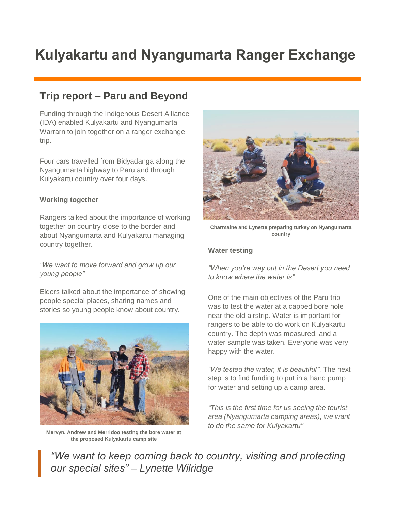# **Kulyakartu and Nyangumarta Ranger Exchange**

## **Trip report – Paru and Beyond**

Funding through the Indigenous Desert Alliance (IDA) enabled Kulyakartu and Nyangumarta Warrarn to join together on a ranger exchange trip.

Four cars travelled from Bidyadanga along the Nyangumarta highway to Paru and through Kulyakartu country over four days.

#### **Working together**

Rangers talked about the importance of working together on country close to the border and about Nyangumarta and Kulyakartu managing country together.

*"We want to move forward and grow up our young people"*

Elders talked about the importance of showing people special places, sharing names and stories so young people know about country.



**Mervyn, Andrew and Merridoo testing the bore water at the proposed Kulyakartu camp site**



**Charmaine and Lynette preparing turkey on Nyangumarta country**

#### **Water testing**

*"When you're way out in the Desert you need to know where the water is"*

One of the main objectives of the Paru trip was to test the water at a capped bore hole near the old airstrip. Water is important for rangers to be able to do work on Kulyakartu country. The depth was measured, and a water sample was taken. Everyone was very happy with the water.

*"We tested the water, it is beautiful"*. The next step is to find funding to put in a hand pump for water and setting up a camp area.

*"This is the first time for us seeing the tourist area (Nyangumarta camping areas), we want to do the same for Kulyakartu"*

"We want to keep coming back to country, visiting and protecting *our special sites" – Lynette Wilridge*